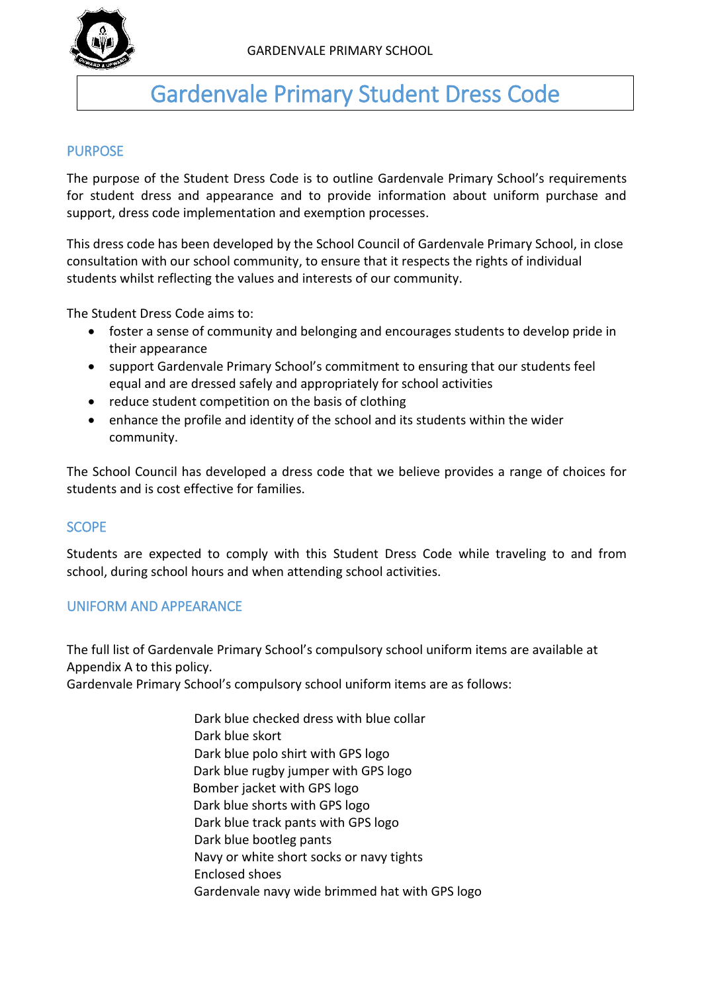

# Gardenvale Primary Student Dress Code

# PURPOSE

The purpose of the Student Dress Code is to outline Gardenvale Primary School's requirements for student dress and appearance and to provide information about uniform purchase and support, dress code implementation and exemption processes.

This dress code has been developed by the School Council of Gardenvale Primary School, in close consultation with our school community, to ensure that it respects the rights of individual students whilst reflecting the values and interests of our community.

The Student Dress Code aims to:

- foster a sense of community and belonging and encourages students to develop pride in their appearance
- support Gardenvale Primary School's commitment to ensuring that our students feel equal and are dressed safely and appropriately for school activities
- reduce student competition on the basis of clothing
- enhance the profile and identity of the school and its students within the wider community.

The School Council has developed a dress code that we believe provides a range of choices for students and is cost effective for families.

## **SCOPE**

Students are expected to comply with this Student Dress Code while traveling to and from school, during school hours and when attending school activities.

## UNIFORM AND APPEARANCE

The full list of Gardenvale Primary School's compulsory school uniform items are available at Appendix A to this policy.

Gardenvale Primary School's compulsory school uniform items are as follows:

Dark blue checked dress with blue collar Dark blue skort Dark blue polo shirt with GPS logo Dark blue rugby jumper with GPS logo Bomber jacket with GPS logo Dark blue shorts with GPS logo Dark blue track pants with GPS logo Dark blue bootleg pants Navy or white short socks or navy tights Enclosed shoes Gardenvale navy wide brimmed hat with GPS logo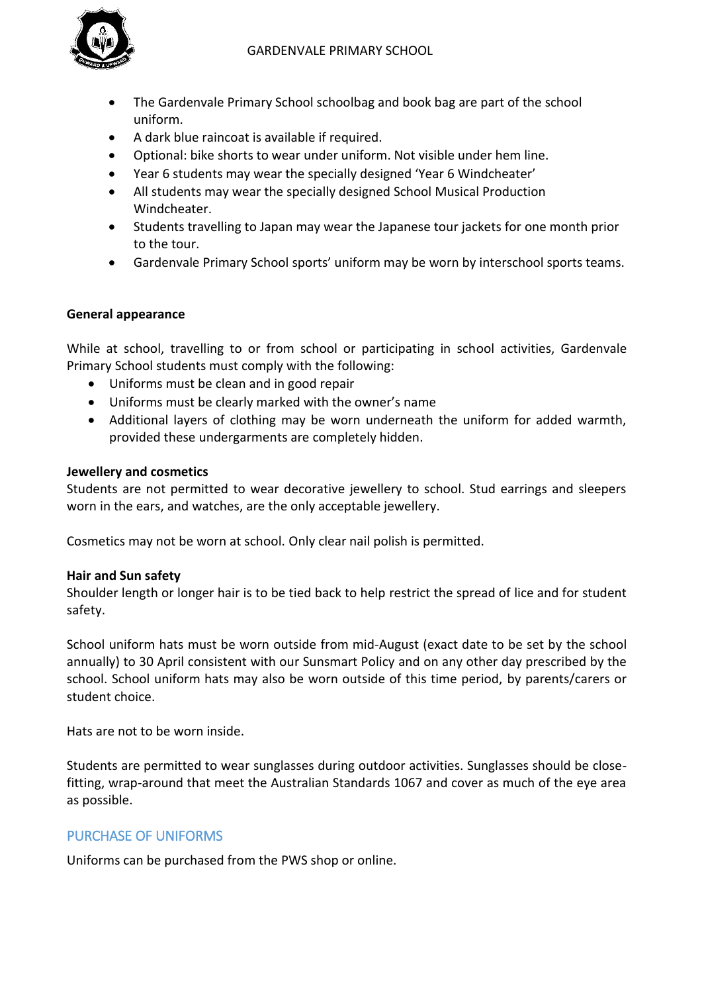

- The Gardenvale Primary School schoolbag and book bag are part of the school uniform.
- A dark blue raincoat is available if required.
- Optional: bike shorts to wear under uniform. Not visible under hem line.
- Year 6 students may wear the specially designed 'Year 6 Windcheater'
- All students may wear the specially designed School Musical Production Windcheater.
- Students travelling to Japan may wear the Japanese tour jackets for one month prior to the tour.
- Gardenvale Primary School sports' uniform may be worn by interschool sports teams.

## **General appearance**

While at school, travelling to or from school or participating in school activities, Gardenvale Primary School students must comply with the following:

- Uniforms must be clean and in good repair
- Uniforms must be clearly marked with the owner's name
- Additional layers of clothing may be worn underneath the uniform for added warmth, provided these undergarments are completely hidden.

#### **Jewellery and cosmetics**

Students are not permitted to wear decorative jewellery to school. Stud earrings and sleepers worn in the ears, and watches, are the only acceptable jewellery.

Cosmetics may not be worn at school. Only clear nail polish is permitted.

#### **Hair and Sun safety**

Shoulder length or longer hair is to be tied back to help restrict the spread of lice and for student safety.

School uniform hats must be worn outside from mid-August (exact date to be set by the school annually) to 30 April consistent with our Sunsmart Policy and on any other day prescribed by the school. School uniform hats may also be worn outside of this time period, by parents/carers or student choice.

Hats are not to be worn inside.

Students are permitted to wear sunglasses during outdoor activities. Sunglasses should be closefitting, wrap-around that meet the Australian Standards 1067 and cover as much of the eye area as possible.

# PURCHASE OF UNIFORMS

Uniforms can be purchased from the PWS shop or online.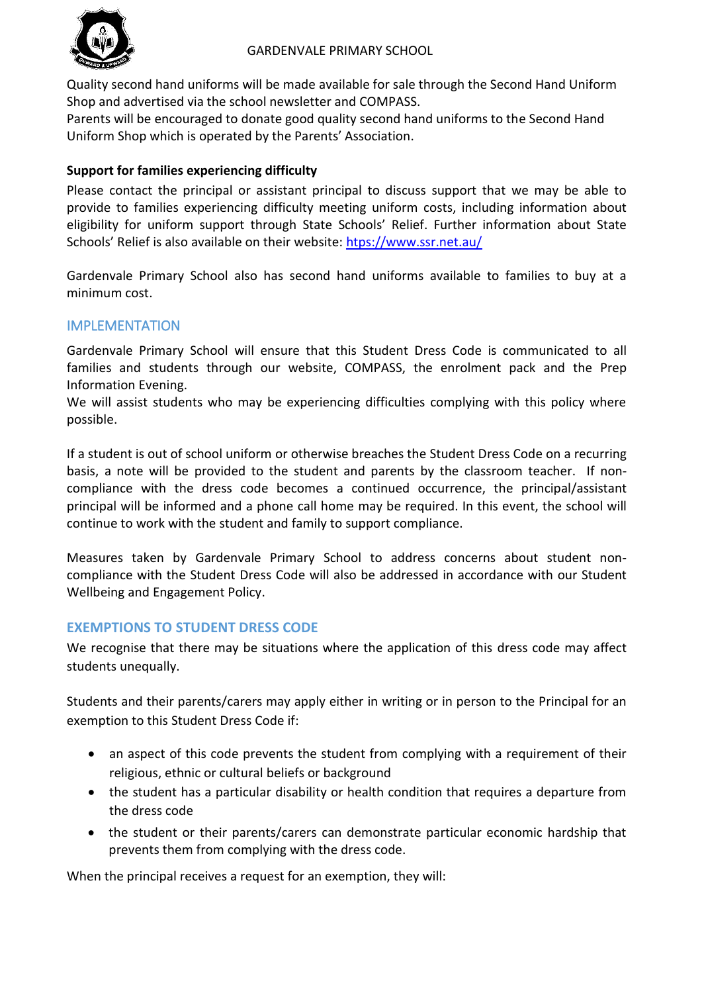

Quality second hand uniforms will be made available for sale through the Second Hand Uniform Shop and advertised via the school newsletter and COMPASS.

Parents will be encouraged to donate good quality second hand uniforms to the Second Hand Uniform Shop which is operated by the Parents' Association.

# **Support for families experiencing difficulty**

Please contact the principal or assistant principal to discuss support that we may be able to provide to families experiencing difficulty meeting uniform costs, including information about eligibility for uniform support through State Schools' Relief. Further information about State Schools' Relief is also available on their website: [htps://www.ssr.net.au/](https://www.ssr.net.au/)

Gardenvale Primary School also has second hand uniforms available to families to buy at a minimum cost.

# IMPLEMENTATION

Gardenvale Primary School will ensure that this Student Dress Code is communicated to all families and students through our website, COMPASS, the enrolment pack and the Prep Information Evening.

We will assist students who may be experiencing difficulties complying with this policy where possible.

If a student is out of school uniform or otherwise breaches the Student Dress Code on a recurring basis, a note will be provided to the student and parents by the classroom teacher. If noncompliance with the dress code becomes a continued occurrence, the principal/assistant principal will be informed and a phone call home may be required. In this event, the school will continue to work with the student and family to support compliance.

Measures taken by Gardenvale Primary School to address concerns about student noncompliance with the Student Dress Code will also be addressed in accordance with our Student Wellbeing and Engagement Policy.

# **EXEMPTIONS TO STUDENT DRESS CODE**

We recognise that there may be situations where the application of this dress code may affect students unequally.

Students and their parents/carers may apply either in writing or in person to the Principal for an exemption to this Student Dress Code if:

- an aspect of this code prevents the student from complying with a requirement of their religious, ethnic or cultural beliefs or background
- the student has a particular disability or health condition that requires a departure from the dress code
- the student or their parents/carers can demonstrate particular economic hardship that prevents them from complying with the dress code.

When the principal receives a request for an exemption, they will: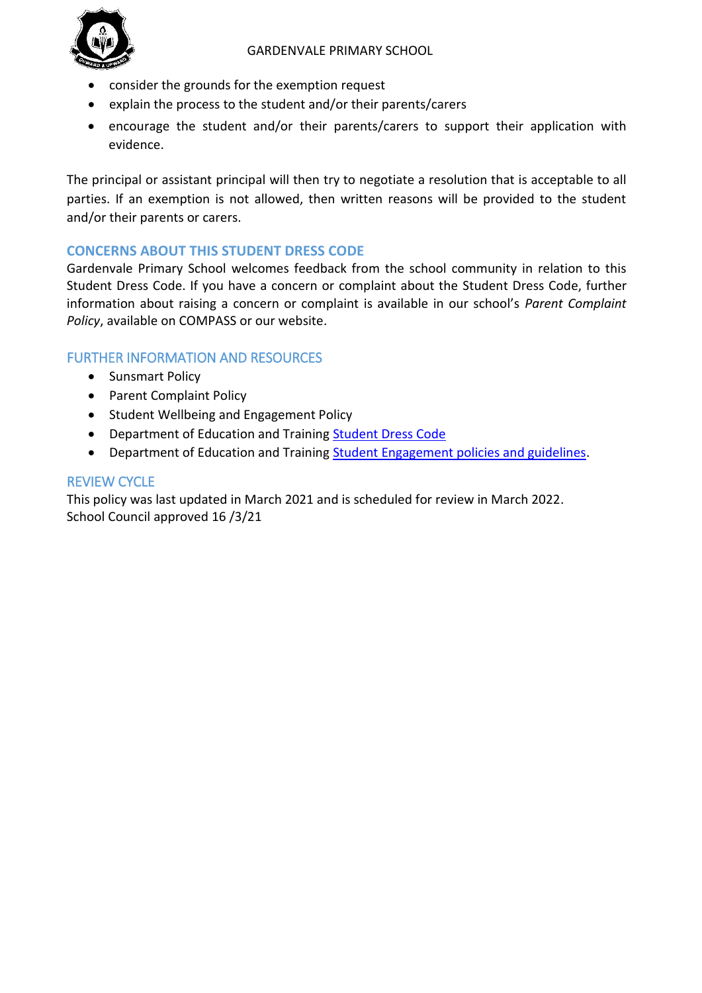

- consider the grounds for the exemption request
- explain the process to the student and/or their parents/carers
- encourage the student and/or their parents/carers to support their application with evidence.

The principal or assistant principal will then try to negotiate a resolution that is acceptable to all parties. If an exemption is not allowed, then written reasons will be provided to the student and/or their parents or carers.

# **CONCERNS ABOUT THIS STUDENT DRESS CODE**

Gardenvale Primary School welcomes feedback from the school community in relation to this Student Dress Code. If you have a concern or complaint about the Student Dress Code, further information about raising a concern or complaint is available in our school's *Parent Complaint Policy*, available on COMPASS or our website.

# FURTHER INFORMATION AND RESOURCES

- Sunsmart Policy
- Parent Complaint Policy
- Student Wellbeing and Engagement Policy
- Department of Education and Training [Student Dress Code](https://www2.education.vic.gov.au/pal/student-dress-code/policy)
- Department of Education and Training [Student Engagement policies and guidelines.](https://www2.education.vic.gov.au/pal/student-engagement/policy)

## REVIEW CYCLE

This policy was last updated in March 2021 and is scheduled for review in March 2022. School Council approved 16 /3/21